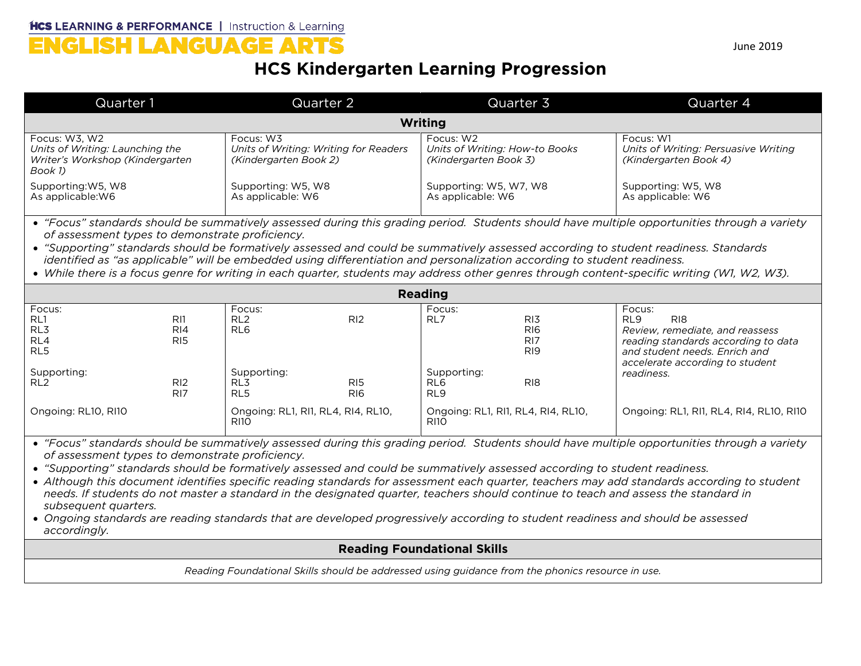## HCS LEARNING & PERFORMANCE | Instruction & Learning

## **HCS Kindergarten Learning Progression**

| Quarter 1                                                                                                                                                                                                                                                                                                                                                                                                                                                                                                                                                                                                                                                                                                                                                                                      | Quarter 2                                                                                                | Quarter 3                                                                                                                     | Quarter 4                                                                                                                                                                                                |  |  |
|------------------------------------------------------------------------------------------------------------------------------------------------------------------------------------------------------------------------------------------------------------------------------------------------------------------------------------------------------------------------------------------------------------------------------------------------------------------------------------------------------------------------------------------------------------------------------------------------------------------------------------------------------------------------------------------------------------------------------------------------------------------------------------------------|----------------------------------------------------------------------------------------------------------|-------------------------------------------------------------------------------------------------------------------------------|----------------------------------------------------------------------------------------------------------------------------------------------------------------------------------------------------------|--|--|
| Writing                                                                                                                                                                                                                                                                                                                                                                                                                                                                                                                                                                                                                                                                                                                                                                                        |                                                                                                          |                                                                                                                               |                                                                                                                                                                                                          |  |  |
| Focus: W3, W2<br>Units of Writing: Launching the<br>Writer's Workshop (Kindergarten<br>Book 1)                                                                                                                                                                                                                                                                                                                                                                                                                                                                                                                                                                                                                                                                                                 | Focus: W3<br>Units of Writing: Writing for Readers<br>(Kindergarten Book 2)                              | Focus: W2<br>Units of Writing: How-to Books<br>(Kindergarten Book 3)                                                          | Focus: W1<br>Units of Writing: Persuasive Writing<br>(Kindergarten Book 4)                                                                                                                               |  |  |
| Supporting: W5, W8<br>As applicable: W6                                                                                                                                                                                                                                                                                                                                                                                                                                                                                                                                                                                                                                                                                                                                                        | Supporting: W5, W8<br>As applicable: W6                                                                  | Supporting: W5, W7, W8<br>As applicable: W6                                                                                   | Supporting: W5, W8<br>As applicable: W6                                                                                                                                                                  |  |  |
| • "Focus" standards should be summatively assessed during this grading period. Students should have multiple opportunities through a variety<br>of assessment types to demonstrate proficiency.<br>• "Supporting" standards should be formatively assessed and could be summatively assessed according to student readiness. Standards<br>identified as "as applicable" will be embedded using differentiation and personalization according to student readiness.<br>• While there is a focus genre for writing in each quarter, students may address other genres through content-specific writing (W1, W2, W3).                                                                                                                                                                             |                                                                                                          |                                                                                                                               |                                                                                                                                                                                                          |  |  |
| <b>Reading</b>                                                                                                                                                                                                                                                                                                                                                                                                                                                                                                                                                                                                                                                                                                                                                                                 |                                                                                                          |                                                                                                                               |                                                                                                                                                                                                          |  |  |
| Focus:<br>RL1<br>R11<br>RL3<br>R <sub>14</sub><br>RL4<br>RI <sub>5</sub><br>RL5<br>Supporting:<br>RL <sub>2</sub><br>R12                                                                                                                                                                                                                                                                                                                                                                                                                                                                                                                                                                                                                                                                       | Focus:<br>RL <sub>2</sub><br>R <sub>12</sub><br>RL <sub>6</sub><br>Supporting:<br>RL3<br>R <sub>15</sub> | Focus:<br>RL7<br>R <sub>13</sub><br><b>RI6</b><br>RI7<br>R <sub>19</sub><br>Supporting:<br>RL <sub>6</sub><br>R <sub>18</sub> | Focus:<br>RL <sub>9</sub><br>R <sub>18</sub><br>Review, remediate, and reassess<br>reading standards according to data<br>and student needs. Enrich and<br>accelerate according to student<br>readiness. |  |  |
| RI <sub>7</sub><br>Ongoing: RL10, RI10                                                                                                                                                                                                                                                                                                                                                                                                                                                                                                                                                                                                                                                                                                                                                         | RL5<br>RIG<br>Ongoing: RL1, RI1, RL4, RI4, RL10,<br><b>RI10</b>                                          | RL9<br>Ongoing: RL1, RI1, RL4, RI4, RL10,<br><b>RI10</b>                                                                      | Ongoing: RL1, RI1, RL4, RI4, RL10, RI10                                                                                                                                                                  |  |  |
| • "Focus" standards should be summatively assessed during this grading period. Students should have multiple opportunities through a variety<br>of assessment types to demonstrate proficiency.<br>• "Supporting" standards should be formatively assessed and could be summatively assessed according to student readiness.<br>• Although this document identifies specific reading standards for assessment each quarter, teachers may add standards according to student<br>needs. If students do not master a standard in the designated quarter, teachers should continue to teach and assess the standard in<br>subsequent quarters.<br>• Ongoing standards are reading standards that are developed progressively according to student readiness and should be assessed<br>accordingly. |                                                                                                          |                                                                                                                               |                                                                                                                                                                                                          |  |  |
| <b>Reading Foundational Skills</b>                                                                                                                                                                                                                                                                                                                                                                                                                                                                                                                                                                                                                                                                                                                                                             |                                                                                                          |                                                                                                                               |                                                                                                                                                                                                          |  |  |
| Reading Foundational Skills should be addressed using guidance from the phonics resource in use.                                                                                                                                                                                                                                                                                                                                                                                                                                                                                                                                                                                                                                                                                               |                                                                                                          |                                                                                                                               |                                                                                                                                                                                                          |  |  |